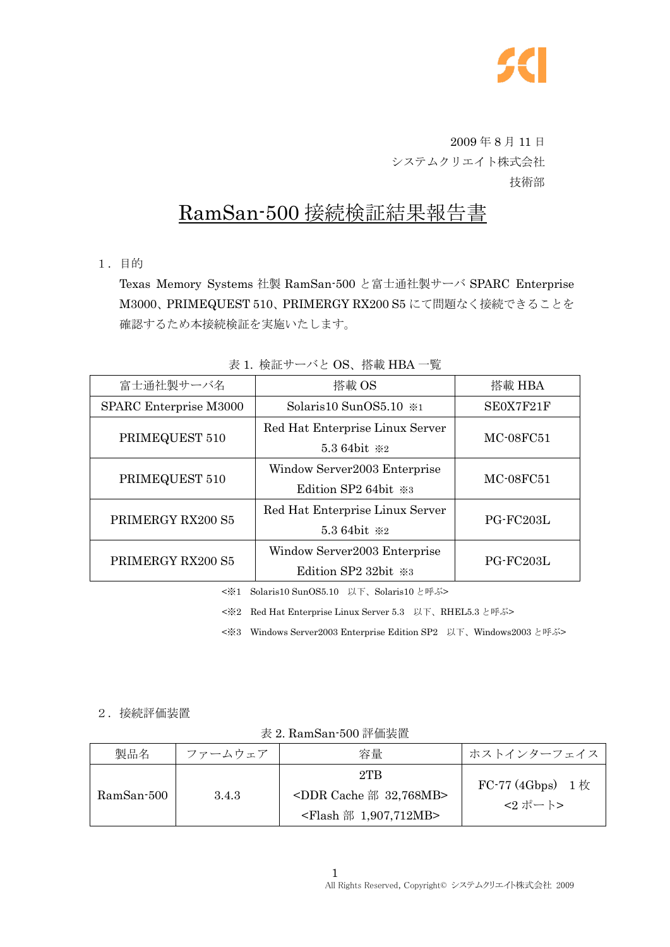

 2009 年 8 月 11 日 システムクリエイト株式会社 技術部

# RamSan-500 接続検証結果報告書

1.目的

Texas Memory Systems 社製 RamSan-500 と富士通社製サーバ SPARC Enterprise M3000、PRIMEQUEST 510、PRIMERGY RX200 S5 にて問題なく接続できることを 確認するため本接続検証を実施いたします。

| 富士通社製サーバ名              | 搭載 OS                             | 搭載 HBA    |  |
|------------------------|-----------------------------------|-----------|--|
| SPARC Enterprise M3000 | Solaris10 SunOS5.10 *1            | SE0X7F21F |  |
| PRIMEQUEST 510         | Red Hat Enterprise Linux Server   | MC-08FC51 |  |
|                        | 5.3 64bit *2                      |           |  |
| PRIMEQUEST 510         | Window Server2003 Enterprise      |           |  |
|                        | Edition SP2 64bit $\frac{1}{2}$ 8 | MC-08FC51 |  |
| PRIMERGY RX200 S5      | Red Hat Enterprise Linux Server   |           |  |
|                        | 5.3 64bit *2                      | PG-FC203L |  |
| PRIMERGY RX200 S5      | Window Server2003 Enterprise      | PG-FC203L |  |
|                        | Edition SP2 32bit ※3              |           |  |

表 1. 検証サーバと OS、搭載 HBA 一覧

<※1 Solaris10 SunOS5.10 以下、Solaris10 と呼ぶ>

<※2 Red Hat Enterprise Linux Server 5.3 以下、RHEL5.3 と呼ぶ>

<※3 Windows Server2003 Enterprise Edition SP2 以下、Windows2003 と呼ぶ>

#### 2.接続評価装置

表 2. RamSan-500 評価装置

| 製品名        | ファームウェア | 容量                                                                                      | ホストインターフェイス                                              |
|------------|---------|-----------------------------------------------------------------------------------------|----------------------------------------------------------|
| RamSan-500 | 3.4.3   | $2$ TB<br><ddr 32,768mb="" cache="" 部=""><br/><flash 1,907,712mb="" 部=""></flash></ddr> | FC-77 (4Gbps) $1 \, \text{\textsterling}\,$<br>$<2$ ポート> |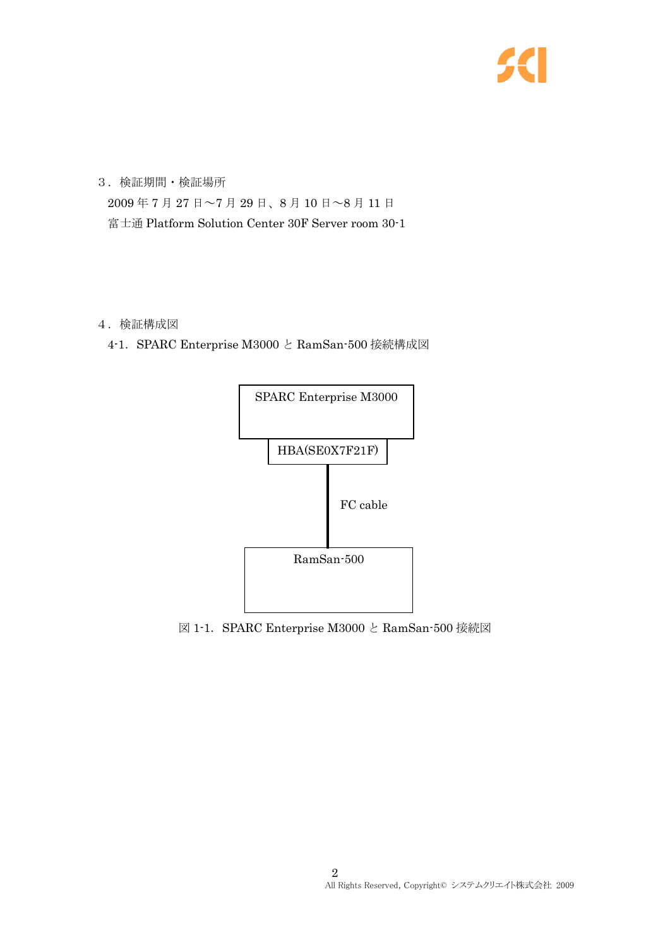

3.検証期間・検証場所 2009 年 7 月 27 日~7 月 29 日、8 月 10 日~8 月 11 日 富士通 Platform Solution Center 30F Server room 30-1

#### 4.検証構成図

4-1.SPARC Enterprise M3000 と RamSan-500 接続構成図



図 1-1.SPARC Enterprise M3000 と RamSan-500 接続図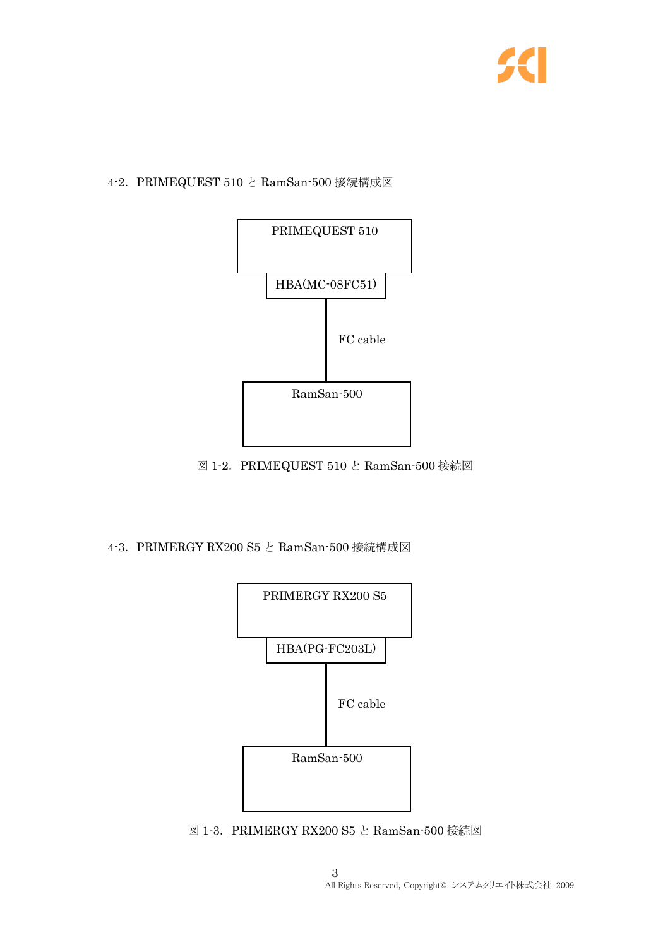

# 4-2.PRIMEQUEST 510 と RamSan-500 接続構成図



図 1-2. PRIMEQUEST 510 と RamSan-500 接続図

### 4-3.PRIMERGY RX200 S5 と RamSan-500 接続構成図



図 1-3. PRIMERGY RX200 S5 と RamSan-500 接続図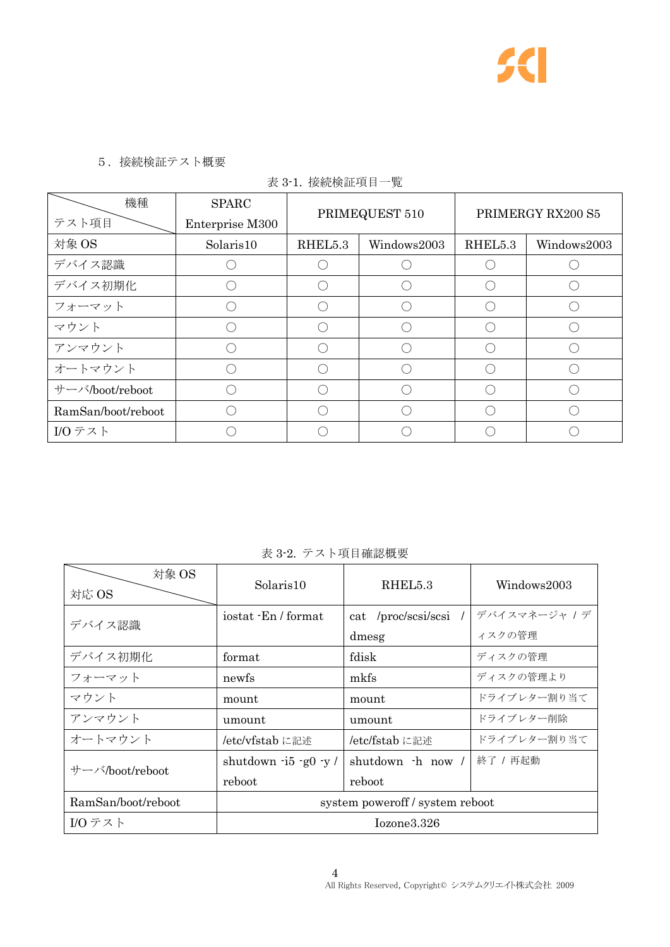

## 5.接続検証テスト概要

|  |  |  | 表 3-1. 接続検証項目一覧 |  |
|--|--|--|-----------------|--|
|--|--|--|-----------------|--|

| 機種                 | <b>SPARC</b>    | PRIMEQUEST 510 |             | PRIMERGY RX200 S5 |             |
|--------------------|-----------------|----------------|-------------|-------------------|-------------|
| テスト項目              | Enterprise M300 |                |             |                   |             |
| 対象 OS              | Solaris10       | RHEL5.3        | Windows2003 | RHEL5.3           | Windows2003 |
| デバイス認識             |                 |                |             |                   |             |
| デバイス初期化            |                 |                |             |                   |             |
| フォーマット             |                 |                |             |                   |             |
| マウント               |                 |                |             |                   |             |
| アンマウント             |                 |                |             |                   |             |
| オートマウント            |                 |                |             |                   |             |
| サーバ/boot/reboot    |                 |                | ⌒           |                   |             |
| RamSan/boot/reboot |                 |                |             |                   |             |
| I/Oテスト             |                 |                |             |                   |             |

# 表 3-2. テスト項目確認概要

| 対象 OS<br>対応 OS     | Solaris10                         | RHEL5.3               | Windows2003   |  |
|--------------------|-----------------------------------|-----------------------|---------------|--|
| デバイス認識             | iostat - En / format              | cat /proc/scsi/scsi / | デバイスマネージャ / デ |  |
|                    |                                   | dmesg                 | ィスクの管理        |  |
| デバイス初期化            | fdisk<br>format                   |                       | ディスクの管理       |  |
| フォーマット             | mkfs<br>newfs                     |                       | ディスクの管理より     |  |
| マウント               | mount                             | mount                 |               |  |
| アンマウント             | umount<br>umount                  |                       | ドライブレター削除     |  |
| オートマウント            | /etc/vfstab に記述<br>/etc/fstab に記述 |                       | ドライブレター割り当て   |  |
| サーバ/boot/reboot    | shutdown $-i5 - g0 - y$ /         | shutdown -h now /     | 終了 / 再起動      |  |
|                    | reboot                            | reboot                |               |  |
| RamSan/boot/reboot | system power of f / system reboot |                       |               |  |
| I/Oテスト             | Iozone3.326                       |                       |               |  |